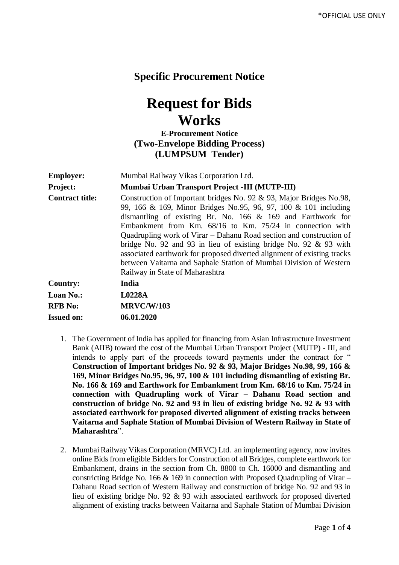## **Specific Procurement Notice**

## **Request for Bids Works**

## **E-Procurement Notice (Two-Envelope Bidding Process) (LUMPSUM Tender)**

| <b>Employer:</b>       | Mumbai Railway Vikas Corporation Ltd.                                                                                                                                                                                                                                                                                                                                                                                                                                                                                                                                                                   |  |  |
|------------------------|---------------------------------------------------------------------------------------------------------------------------------------------------------------------------------------------------------------------------------------------------------------------------------------------------------------------------------------------------------------------------------------------------------------------------------------------------------------------------------------------------------------------------------------------------------------------------------------------------------|--|--|
| <b>Project:</b>        | Mumbai Urban Transport Project -III (MUTP-III)                                                                                                                                                                                                                                                                                                                                                                                                                                                                                                                                                          |  |  |
| <b>Contract title:</b> | Construction of Important bridges No. 92 & 93, Major Bridges No.98,<br>99, 166 & 169, Minor Bridges No.95, 96, 97, 100 & 101 including<br>dismantling of existing Br. No. $166 \& 169$ and Earthwork for<br>Embankment from Km. 68/16 to Km. 75/24 in connection with<br>Quadrupling work of Virar – Dahanu Road section and construction of<br>bridge No. 92 and 93 in lieu of existing bridge No. 92 $\&$ 93 with<br>associated earthwork for proposed diverted alignment of existing tracks<br>between Vaitarna and Saphale Station of Mumbai Division of Western<br>Railway in State of Maharashtra |  |  |
| <b>Country:</b>        | <b>India</b>                                                                                                                                                                                                                                                                                                                                                                                                                                                                                                                                                                                            |  |  |
| <b>Loan No.:</b>       | L0228A                                                                                                                                                                                                                                                                                                                                                                                                                                                                                                                                                                                                  |  |  |
| <b>RFB</b> No:         | <b>MRVC/W/103</b>                                                                                                                                                                                                                                                                                                                                                                                                                                                                                                                                                                                       |  |  |
| <b>Issued on:</b>      | 06.01.2020                                                                                                                                                                                                                                                                                                                                                                                                                                                                                                                                                                                              |  |  |

- 1. The Government of India has applied for financing from Asian Infrastructure Investment Bank (AIIB) toward the cost of the Mumbai Urban Transport Project (MUTP) - III, and intends to apply part of the proceeds toward payments under the contract for " **Construction of Important bridges No. 92 & 93, Major Bridges No.98, 99, 166 & 169, Minor Bridges No.95, 96, 97, 100 & 101 including dismantling of existing Br. No. 166 & 169 and Earthwork for Embankment from Km. 68/16 to Km. 75/24 in connection with Quadrupling work of Virar – Dahanu Road section and construction of bridge No. 92 and 93 in lieu of existing bridge No. 92 & 93 with associated earthwork for proposed diverted alignment of existing tracks between Vaitarna and Saphale Station of Mumbai Division of Western Railway in State of Maharashtra**".
- 2. Mumbai Railway Vikas Corporation (MRVC) Ltd. an implementing agency, now invites online Bids from eligible Bidders for Construction of all Bridges, complete earthwork for Embankment, drains in the section from Ch. 8800 to Ch. 16000 and dismantling and constricting Bridge No. 166  $\&$  169 in connection with Proposed Quadrupling of Virar – Dahanu Road section of Western Railway and construction of bridge No. 92 and 93 in lieu of existing bridge No. 92 & 93 with associated earthwork for proposed diverted alignment of existing tracks between Vaitarna and Saphale Station of Mumbai Division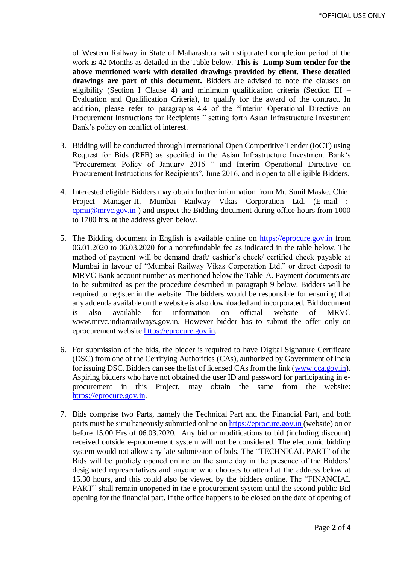of Western Railway in State of Maharashtra with stipulated completion period of the work is 42 Months as detailed in the Table below. **This is Lump Sum tender for the above mentioned work with detailed drawings provided by client. These detailed drawings are part of this document.** Bidders are advised to note the clauses on eligibility (Section I Clause 4) and minimum qualification criteria (Section III – Evaluation and Qualification Criteria), to qualify for the award of the contract. In addition, please refer to paragraphs 4.4 of the "Interim Operational Directive on Procurement Instructions for Recipients " setting forth Asian Infrastructure Investment Bank's policy on conflict of interest.

- 3. Bidding will be conducted through International Open Competitive Tender (IoCT) using Request for Bids (RFB) as specified in the Asian Infrastructure Investment Bank's "Procurement Policy of January 2016 " and Interim Operational Directive on Procurement Instructions for Recipients", June 2016, and is open to all eligible Bidders.
- 4. Interested eligible Bidders may obtain further information from Mr. Sunil Maske, Chief Project Manager-II, Mumbai Railway Vikas Corporation Ltd. (E-mail : [cpmii@mrvc.gov.in](mailto:cpmii@mrvc.gov.in) ) and inspect the Bidding document during office hours from 1000 to 1700 hrs. at the address given below*.*
- 5. The Bidding document in English is available online on [https://eprocure.gov.in](https://eprocure.gov.in/) from 06.01.2020 to 06.03.2020 for a nonrefundable fee as indicated in the table below. The method of payment will be demand draft/ cashier's check/ certified check payable at Mumbai in favour of "Mumbai Railway Vikas Corporation Ltd." or direct deposit to MRVC Bank account number as mentioned below the Table-A. Payment documents are to be submitted as per the procedure described in paragraph 9 below. Bidders will be required to register in the website. The bidders would be responsible for ensuring that any addenda available on the website is also downloaded and incorporated*.* Bid document is also available for information on official website of MRVC www.mrvc.indianrailways.gov.in. However bidder has to submit the offer only on eprocurement website [https://eprocure.gov.in.](https://eprocure.gov.in/)
- 6. For submission of the bids, the bidder is required to have Digital Signature Certificate (DSC) from one of the Certifying Authorities (CAs), authorized by Government of India for issuing DSC. Bidders can see the list of licensed CAs from the link [\(www.cca.gov.in\)](http://www.cca.gov.in/). Aspiring bidders who have not obtained the user ID and password for participating in eprocurement in this Project, may obtain the same from the website: [https://eprocure.gov.in.](https://eprocure.gov.in/)
- 7. Bids comprise two Parts, namely the Technical Part and the Financial Part, and both parts must be simultaneously submitted online o[n https://eprocure.gov.in](https://eprocure.gov.in/) (website) on or before 15.00 Hrs of 06.03.2020. Any bid or modifications to bid (including discount) received outside e-procurement system will not be considered. The electronic bidding system would not allow any late submission of bids. The "TECHNICAL PART" of the Bids will be publicly opened online on the same day in the presence of the Bidders' designated representatives and anyone who chooses to attend at the address below at 15.30 hours*,* and this could also be viewed by the bidders online. The "FINANCIAL PART" shall remain unopened in the e-procurement system until the second public Bid opening for the financial part. If the office happens to be closed on the date of opening of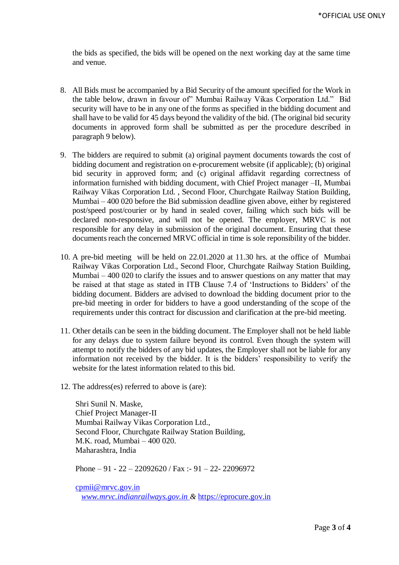the bids as specified, the bids will be opened on the next working day at the same time and venue.

- 8. All Bids must be accompanied by a Bid Security of the amount specified for the Work in the table below, drawn in favour of" Mumbai Railway Vikas Corporation Ltd." Bid security will have to be in any one of the forms as specified in the bidding document and shall have to be valid for 45 days beyond the validity of the bid. (The original bid security documents in approved form shall be submitted as per the procedure described in paragraph 9 below).
- 9. The bidders are required to submit (a) original payment documents towards the cost of bidding document and registration on e-procurement website (if applicable); (b) original bid security in approved form; and (c) original affidavit regarding correctness of information furnished with bidding document, with Chief Project manager –II, Mumbai Railway Vikas Corporation Ltd. , Second Floor, Churchgate Railway Station Building, Mumbai – 400 020 before the Bid submission deadline given above, either by registered post/speed post/courier or by hand in sealed cover, failing which such bids will be declared non-responsive, and will not be opened. The employer, MRVC is not responsible for any delay in submission of the original document. Ensuring that these documents reach the concerned MRVC official in time is sole reponsibility of the bidder.
- 10. A pre-bid meeting will be held on 22.01.2020 at 11.30 hrs. at the office of Mumbai Railway Vikas Corporation Ltd., Second Floor, Churchgate Railway Station Building, Mumbai – 400 020 to clarify the issues and to answer questions on any matter that may be raised at that stage as stated in ITB Clause 7.4 of 'Instructions to Bidders' of the bidding document. Bidders are advised to download the bidding document prior to the pre-bid meeting in order for bidders to have a good understanding of the scope of the requirements under this contract for discussion and clarification at the pre-bid meeting.
- 11. Other details can be seen in the bidding document. The Employer shall not be held liable for any delays due to system failure beyond its control. Even though the system will attempt to notify the bidders of any bid updates, the Employer shall not be liable for any information not received by the bidder. It is the bidders' responsibility to verify the website for the latest information related to this bid.
- 12. The address(es) referred to above is (are):

Shri Sunil N. Maske, Chief Project Manager-II Mumbai Railway Vikas Corporation Ltd., Second Floor, Churchgate Railway Station Building, M.K. road, Mumbai – 400 020. Maharashtra, India

Phone – 91 - 22 – 22092620 / Fax :- 91 – 22- 22096972

[cpmii@mrvc.gov.in](mailto:cpmii@mrvc.gov.in) *[www.mrvc.indianrailways.gov.in](http://www.mrvc.indianrailways.gov.in/) &* [https://eprocure.gov.in](https://eprocure.gov.in/)